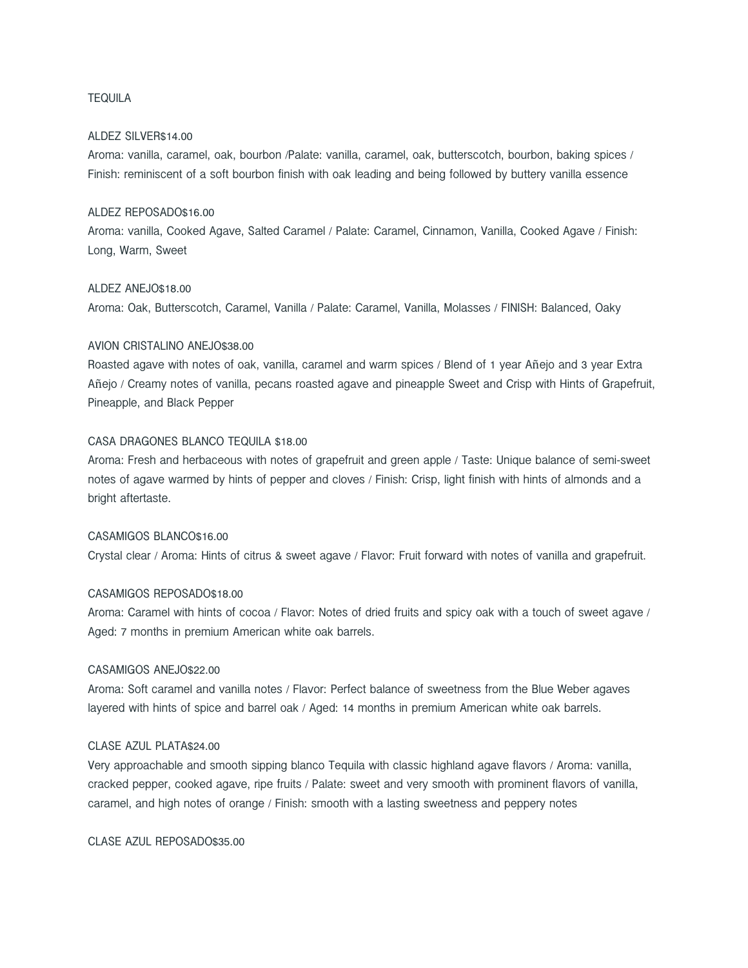## TEQUILA

#### ALDEZ SILVER\$14.00

Aroma: vanilla, caramel, oak, bourbon /Palate: vanilla, caramel, oak, butterscotch, bourbon, baking spices / Finish: reminiscent of a soft bourbon finish with oak leading and being followed by buttery vanilla essence

#### ALDEZ REPOSADO\$16.00

Aroma: vanilla, Cooked Agave, Salted Caramel / Palate: Caramel, Cinnamon, Vanilla, Cooked Agave / Finish: Long, Warm, Sweet

### ALDEZ ANEJO\$18.00

Aroma: Oak, Butterscotch, Caramel, Vanilla / Palate: Caramel, Vanilla, Molasses / FINISH: Balanced, Oaky

## AVION CRISTALINO ANEJO\$38.00

Roasted agave with notes of oak, vanilla, caramel and warm spices / Blend of 1 year Añejo and 3 year Extra Añejo / Creamy notes of vanilla, pecans roasted agave and pineapple Sweet and Crisp with Hints of Grapefruit, Pineapple, and Black Pepper

#### CASA DRAGONES BLANCO TEQUILA \$18.00

Aroma: Fresh and herbaceous with notes of grapefruit and green apple / Taste: Unique balance of semi-sweet notes of agave warmed by hints of pepper and cloves / Finish: Crisp, light finish with hints of almonds and a bright aftertaste.

# CASAMIGOS BLANCO\$16.00

Crystal clear / Aroma: Hints of citrus & sweet agave / Flavor: Fruit forward with notes of vanilla and grapefruit.

### CASAMIGOS REPOSADO\$18.00

Aroma: Caramel with hints of cocoa / Flavor: Notes of dried fruits and spicy oak with a touch of sweet agave / Aged: 7 months in premium American white oak barrels.

## CASAMIGOS ANE IO\$22.00

Aroma: Soft caramel and vanilla notes / Flavor: Perfect balance of sweetness from the Blue Weber agaves layered with hints of spice and barrel oak / Aged: 14 months in premium American white oak barrels.

## CLASE AZUL PLATA\$24.00

Very approachable and smooth sipping blanco Tequila with classic highland agave flavors / Aroma: vanilla, cracked pepper, cooked agave, ripe fruits / Palate: sweet and very smooth with prominent flavors of vanilla, caramel, and high notes of orange / Finish: smooth with a lasting sweetness and peppery notes

CLASE AZUL REPOSADO\$35.00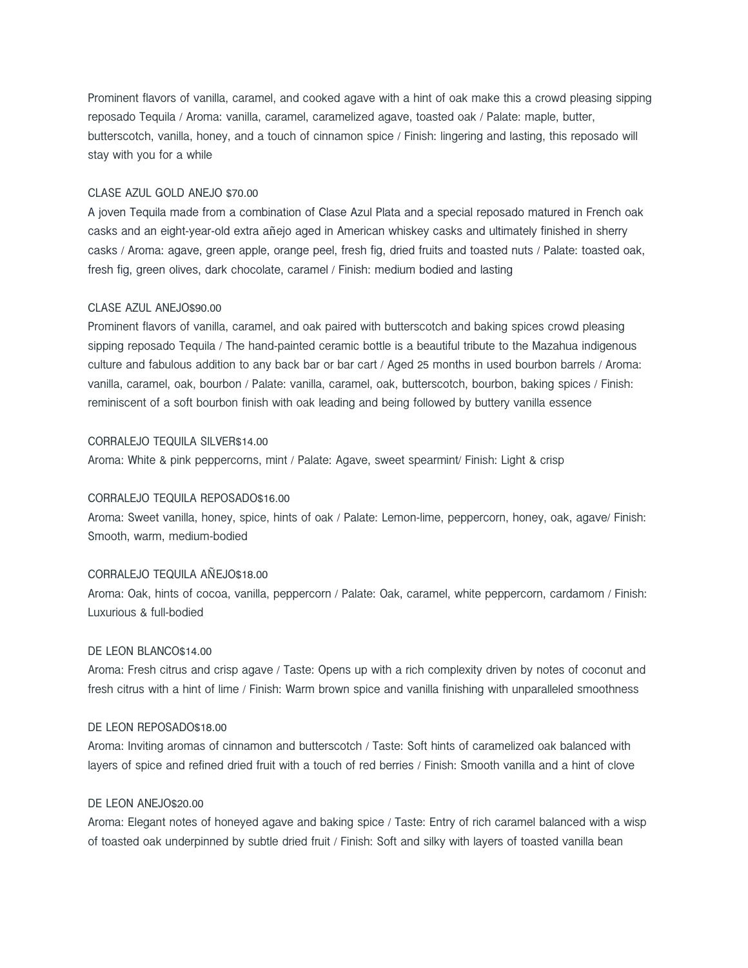Prominent flavors of vanilla, caramel, and cooked agave with a hint of oak make this a crowd pleasing sipping reposado Tequila / Aroma: vanilla, caramel, caramelized agave, toasted oak / Palate: maple, butter, butterscotch, vanilla, honey, and a touch of cinnamon spice / Finish: lingering and lasting, this reposado will stay with you for a while

#### CLASE AZUL GOLD ANEJO \$70.00

A joven Tequila made from a combination of Clase Azul Plata and a special reposado matured in French oak casks and an eight-year-old extra añejo aged in American whiskey casks and ultimately finished in sherry casks / Aroma: agave, green apple, orange peel, fresh fig, dried fruits and toasted nuts / Palate: toasted oak, fresh fig, green olives, dark chocolate, caramel / Finish: medium bodied and lasting

#### CLASE AZUL ANEJO\$90.00

Prominent flavors of vanilla, caramel, and oak paired with butterscotch and baking spices crowd pleasing sipping reposado Tequila / The hand-painted ceramic bottle is a beautiful tribute to the Mazahua indigenous culture and fabulous addition to any back bar or bar cart / Aged 25 months in used bourbon barrels / Aroma: vanilla, caramel, oak, bourbon / Palate: vanilla, caramel, oak, butterscotch, bourbon, baking spices / Finish: reminiscent of a soft bourbon finish with oak leading and being followed by buttery vanilla essence

#### CORRALEJO TEQUILA SILVER\$14.00

Aroma: White & pink peppercorns, mint / Palate: Agave, sweet spearmint/ Finish: Light & crisp

# CORRALEJO TEQUILA REPOSADO\$16.00

Aroma: Sweet vanilla, honey, spice, hints of oak / Palate: Lemon-lime, peppercorn, honey, oak, agave/ Finish: Smooth, warm, medium-bodied

# CORRALEJO TEQUILA AÑEJO\$18.00

Aroma: Oak, hints of cocoa, vanilla, peppercorn / Palate: Oak, caramel, white peppercorn, cardamom / Finish: Luxurious & full-bodied

### DE LEON BLANCO\$14.00

Aroma: Fresh citrus and crisp agave / Taste: Opens up with a rich complexity driven by notes of coconut and fresh citrus with a hint of lime / Finish: Warm brown spice and vanilla finishing with unparalleled smoothness

# DE LEON REPOSADO\$18.00

Aroma: Inviting aromas of cinnamon and butterscotch / Taste: Soft hints of caramelized oak balanced with layers of spice and refined dried fruit with a touch of red berries / Finish: Smooth vanilla and a hint of clove

# DE LEON ANEJO\$20.00

Aroma: Elegant notes of honeyed agave and baking spice / Taste: Entry of rich caramel balanced with a wisp of toasted oak underpinned by subtle dried fruit / Finish: Soft and silky with layers of toasted vanilla bean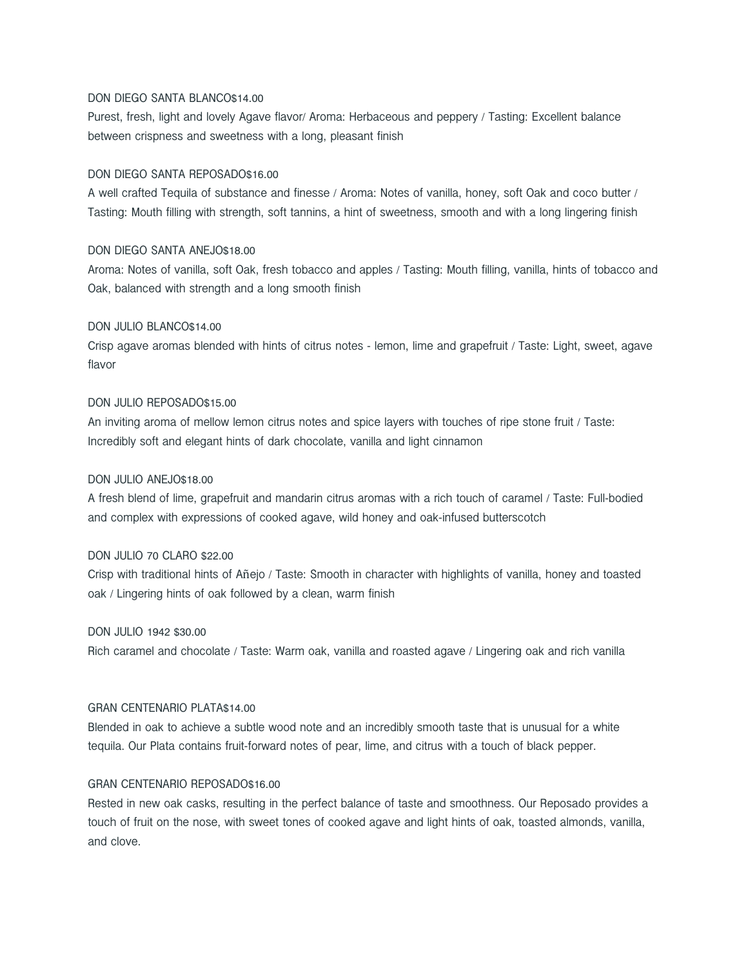# DON DIEGO SANTA BLANCO\$14.00

Purest, fresh, light and lovely Agave flavor/ Aroma: Herbaceous and peppery / Tasting: Excellent balance between crispness and sweetness with a long, pleasant finish

### DON DIEGO SANTA REPOSADO\$16.00

A well crafted Tequila of substance and finesse / Aroma: Notes of vanilla, honey, soft Oak and coco butter / Tasting: Mouth filling with strength, soft tannins, a hint of sweetness, smooth and with a long lingering finish

# DON DIEGO SANTA ANEJO\$18.00

Aroma: Notes of vanilla, soft Oak, fresh tobacco and apples / Tasting: Mouth filling, vanilla, hints of tobacco and Oak, balanced with strength and a long smooth finish

# DON JULIO BLANCO\$14.00

Crisp agave aromas blended with hints of citrus notes - lemon, lime and grapefruit / Taste: Light, sweet, agave flavor

# DON JULIO REPOSADO\$15.00

An inviting aroma of mellow lemon citrus notes and spice layers with touches of ripe stone fruit / Taste: Incredibly soft and elegant hints of dark chocolate, vanilla and light cinnamon

#### DON JULIO ANEJO\$18.00

A fresh blend of lime, grapefruit and mandarin citrus aromas with a rich touch of caramel / Taste: Full-bodied and complex with expressions of cooked agave, wild honey and oak-infused butterscotch

# DON JULIO 70 CLARO \$22.00

Crisp with traditional hints of Añejo / Taste: Smooth in character with highlights of vanilla, honey and toasted oak / Lingering hints of oak followed by a clean, warm finish

# DON JULIO 1942 \$30.00

Rich caramel and chocolate / Taste: Warm oak, vanilla and roasted agave / Lingering oak and rich vanilla

# GRAN CENTENARIO PLATA\$14.00

Blended in oak to achieve a subtle wood note and an incredibly smooth taste that is unusual for a white tequila. Our Plata contains fruit-forward notes of pear, lime, and citrus with a touch of black pepper.

#### GRAN CENTENARIO REPOSADO\$16.00

Rested in new oak casks, resulting in the perfect balance of taste and smoothness. Our Reposado provides a touch of fruit on the nose, with sweet tones of cooked agave and light hints of oak, toasted almonds, vanilla, and clove.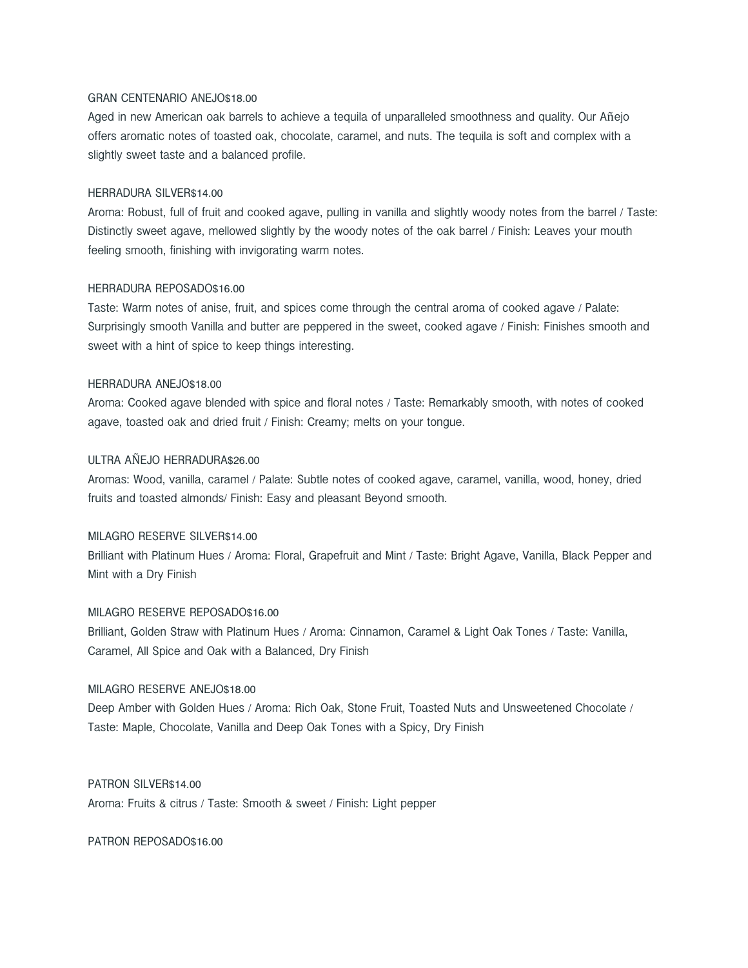# GRAN CENTENARIO ANEJO\$18.00

Aged in new American oak barrels to achieve a tequila of unparalleled smoothness and quality. Our Añejo offers aromatic notes of toasted oak, chocolate, caramel, and nuts. The tequila is soft and complex with a slightly sweet taste and a balanced profile.

#### HERRADURA SILVER\$14.00

Aroma: Robust, full of fruit and cooked agave, pulling in vanilla and slightly woody notes from the barrel / Taste: Distinctly sweet agave, mellowed slightly by the woody notes of the oak barrel / Finish: Leaves your mouth feeling smooth, finishing with invigorating warm notes.

#### HERRADURA REPOSADO\$16.00

Taste: Warm notes of anise, fruit, and spices come through the central aroma of cooked agave / Palate: Surprisingly smooth Vanilla and butter are peppered in the sweet, cooked agave / Finish: Finishes smooth and sweet with a hint of spice to keep things interesting.

#### HERRADURA ANEJO\$18.00

Aroma: Cooked agave blended with spice and floral notes / Taste: Remarkably smooth, with notes of cooked agave, toasted oak and dried fruit / Finish: Creamy; melts on your tongue.

# ULTRA AÑEJO HERRADURA\$26.00

Aromas: Wood, vanilla, caramel / Palate: Subtle notes of cooked agave, caramel, vanilla, wood, honey, dried fruits and toasted almonds/ Finish: Easy and pleasant Beyond smooth.

# MILAGRO RESERVE SILVER\$14.00

Brilliant with Platinum Hues / Aroma: Floral, Grapefruit and Mint / Taste: Bright Agave, Vanilla, Black Pepper and Mint with a Dry Finish

#### MILAGRO RESERVE REPOSADO\$16.00

Brilliant, Golden Straw with Platinum Hues / Aroma: Cinnamon, Caramel & Light Oak Tones / Taste: Vanilla, Caramel, All Spice and Oak with a Balanced, Dry Finish

# MILAGRO RESERVE ANEJO\$18.00

Deep Amber with Golden Hues / Aroma: Rich Oak, Stone Fruit, Toasted Nuts and Unsweetened Chocolate / Taste: Maple, Chocolate, Vanilla and Deep Oak Tones with a Spicy, Dry Finish

#### PATRON SILVER\$14.00

Aroma: Fruits & citrus / Taste: Smooth & sweet / Finish: Light pepper

PATRON REPOSADO\$16.00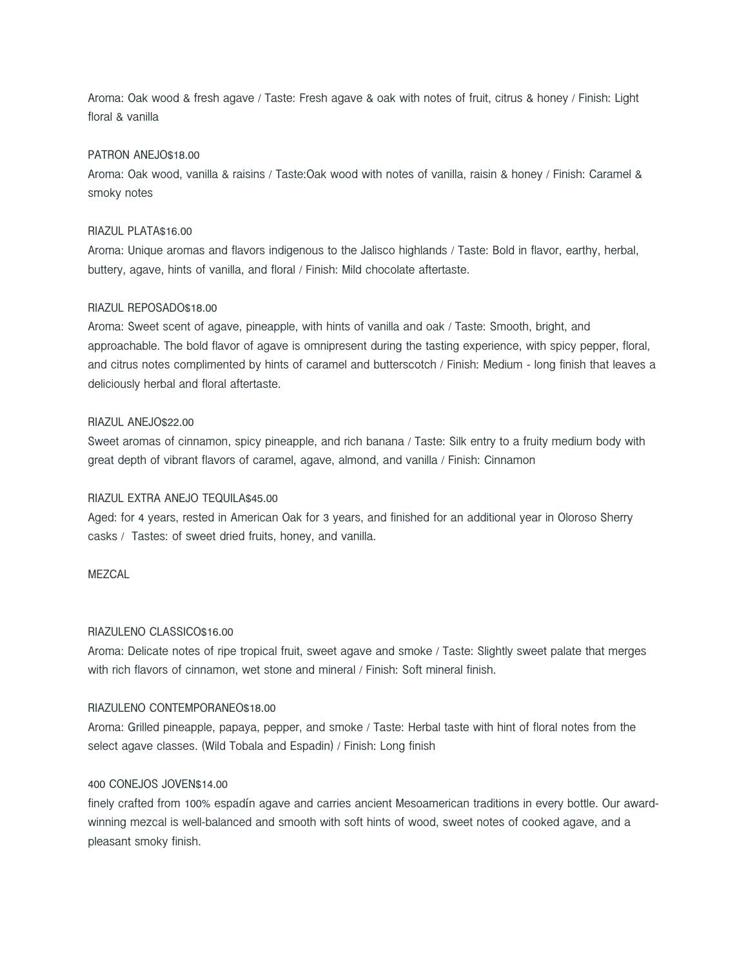Aroma: Oak wood & fresh agave / Taste: Fresh agave & oak with notes of fruit, citrus & honey / Finish: Light floral & vanilla

### PATRON ANEJO\$18.00

Aroma: Oak wood, vanilla & raisins / Taste:Oak wood with notes of vanilla, raisin & honey / Finish: Caramel & smoky notes

#### RIAZUL PLATA\$16.00

Aroma: Unique aromas and flavors indigenous to the Jalisco highlands / Taste: Bold in flavor, earthy, herbal, buttery, agave, hints of vanilla, and floral / Finish: Mild chocolate aftertaste.

## RIAZUL REPOSADO\$18.00

Aroma: Sweet scent of agave, pineapple, with hints of vanilla and oak / Taste: Smooth, bright, and approachable. The bold flavor of agave is omnipresent during the tasting experience, with spicy pepper, floral, and citrus notes complimented by hints of caramel and butterscotch / Finish: Medium - long finish that leaves a deliciously herbal and floral aftertaste.

## RIAZUL ANEJO\$22.00

Sweet aromas of cinnamon, spicy pineapple, and rich banana / Taste: Silk entry to a fruity medium body with great depth of vibrant flavors of caramel, agave, almond, and vanilla / Finish: Cinnamon

# RIAZUL EXTRA ANEJO TEQUILA\$45.00

Aged: for 4 years, rested in American Oak for 3 years, and finished for an additional year in Oloroso Sherry casks / Tastes: of sweet dried fruits, honey, and vanilla.

#### MF7CAL

# RIAZULENO CLASSICO\$16.00

Aroma: Delicate notes of ripe tropical fruit, sweet agave and smoke / Taste: Slightly sweet palate that merges with rich flavors of cinnamon, wet stone and mineral / Finish: Soft mineral finish.

#### RIAZULENO CONTEMPORANEO\$18.00

Aroma: Grilled pineapple, papaya, pepper, and smoke / Taste: Herbal taste with hint of floral notes from the select agave classes. (Wild Tobala and Espadin) / Finish: Long finish

#### 400 CONEJOS JOVEN\$14.00

finely crafted from 100% espadín agave and carries ancient Mesoamerican traditions in every bottle. Our awardwinning mezcal is well-balanced and smooth with soft hints of wood, sweet notes of cooked agave, and a pleasant smoky finish.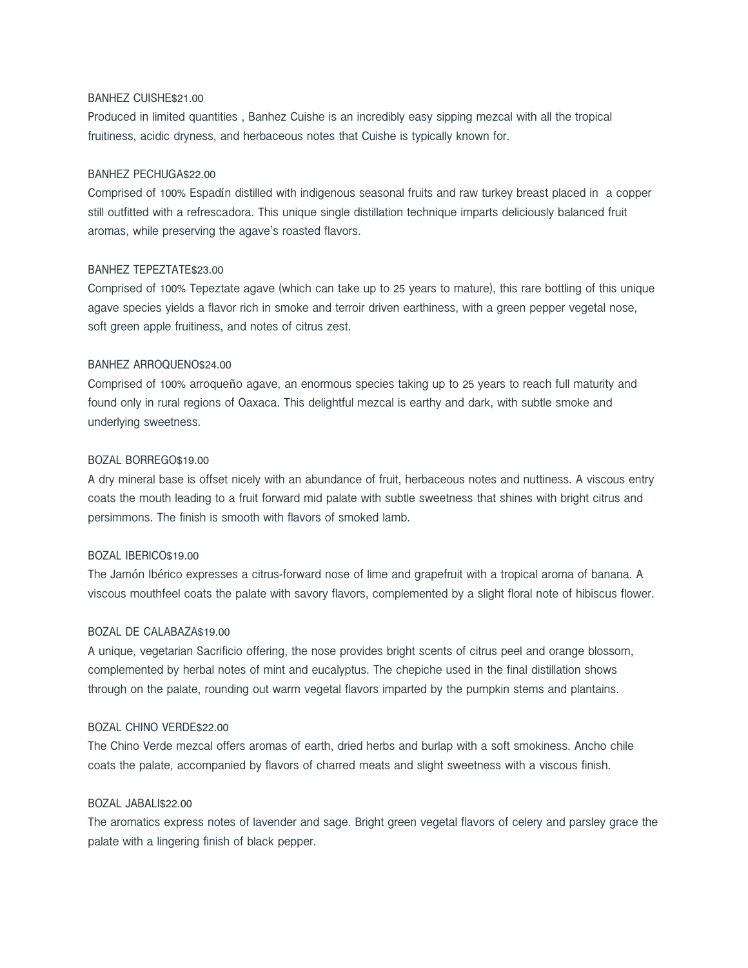# BANHEZ CUISHE\$21.00

Produced in limited quantities , Banhez Cuishe is an incredibly easy sipping mezcal with all the tropical fruitiness, acidic dryness, and herbaceous notes that Cuishe is typically known for.

# BANHEZ PECHUGA\$22.00

Comprised of 100% Espadín distilled with indigenous seasonal fruits and raw turkey breast placed in a copper still outfitted with a refrescadora. This unique single distillation technique imparts deliciously balanced fruit aromas, while preserving the agave's roasted flavors.

# BANHEZ TEPEZTATE\$23.00

Comprised of 100% Tepeztate agave (which can take up to 25 years to mature), this rare bottling of this unique agave species yields a flavor rich in smoke and terroir driven earthiness, with a green pepper vegetal nose, soft green apple fruitiness, and notes of citrus zest.

## BANHEZ ARROQUENO\$24.00

Comprised of 100% arroqueño agave, an enormous species taking up to 25 years to reach full maturity and found only in rural regions of Oaxaca. This delightful mezcal is earthy and dark, with subtle smoke and underlying sweetness.

## BOZAL BORREGO\$19.00

A dry mineral base is offset nicely with an abundance of fruit, herbaceous notes and nuttiness. A viscous entry coats the mouth leading to a fruit forward mid palate with subtle sweetness that shines with bright citrus and persimmons. The finish is smooth with flavors of smoked lamb.

#### BOZAL IBERICO\$19.00

The Jamón Ibérico expresses a citrus-forward nose of lime and grapefruit with a tropical aroma of banana. A viscous mouthfeel coats the palate with savory flavors, complemented by a slight floral note of hibiscus flower.

# BOZAL DE CALABAZA\$19.00

A unique, vegetarian Sacrificio offering, the nose provides bright scents of citrus peel and orange blossom, complemented by herbal notes of mint and eucalyptus. The chepiche used in the final distillation shows through on the palate, rounding out warm vegetal flavors imparted by the pumpkin stems and plantains.

# BOZAL CHINO VERDE\$22.00

The Chino Verde mezcal offers aromas of earth, dried herbs and burlap with a soft smokiness. Ancho chile coats the palate, accompanied by flavors of charred meats and slight sweetness with a viscous finish.

### BOZAL JABALI\$22.00

The aromatics express notes of lavender and sage. Bright green vegetal flavors of celery and parsley grace the palate with a lingering finish of black pepper.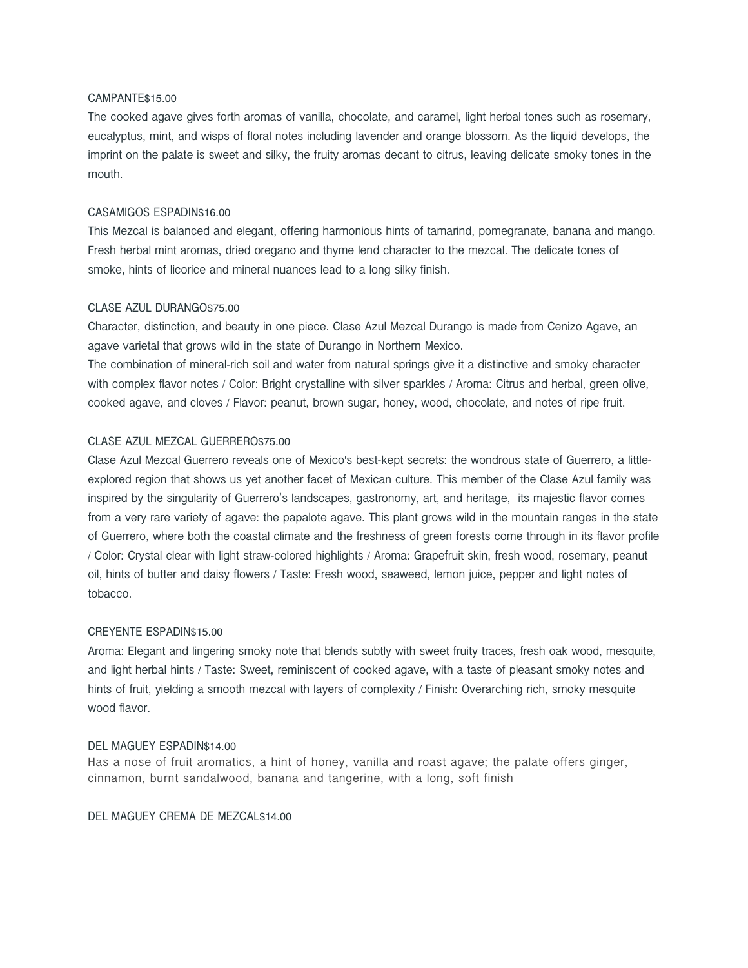# CAMPANTE\$15.00

The cooked agave gives forth aromas of vanilla, chocolate, and caramel, light herbal tones such as rosemary, eucalyptus, mint, and wisps of floral notes including lavender and orange blossom. As the liquid develops, the imprint on the palate is sweet and silky, the fruity aromas decant to citrus, leaving delicate smoky tones in the mouth.

# CASAMIGOS ESPADIN\$16.00

This Mezcal is balanced and elegant, offering harmonious hints of tamarind, pomegranate, banana and mango. Fresh herbal mint aromas, dried oregano and thyme lend character to the mezcal. The delicate tones of smoke, hints of licorice and mineral nuances lead to a long silky finish.

#### CLASE AZUL DURANGO\$75.00

Character, distinction, and beauty in one piece. Clase Azul Mezcal Durango is made from Cenizo Agave, an agave varietal that grows wild in the state of Durango in Northern Mexico.

The combination of mineral-rich soil and water from natural springs give it a distinctive and smoky character with complex flavor notes / Color: Bright crystalline with silver sparkles / Aroma: Citrus and herbal, green olive, cooked agave, and cloves / Flavor: peanut, brown sugar, honey, wood, chocolate, and notes of ripe fruit.

## CLASE AZUL MEZCAL GUERRERO\$75.00

Clase Azul Mezcal Guerrero reveals one of Mexico's best-kept secrets: the wondrous state of Guerrero, a littleexplored region that shows us yet another facet of Mexican culture. This member of the Clase Azul family was inspired by the singularity of Guerrero's landscapes, gastronomy, art, and heritage, its majestic flavor comes from a very rare variety of agave: the papalote agave. This plant grows wild in the mountain ranges in the state of Guerrero, where both the coastal climate and the freshness of green forests come through in its flavor profile / Color: Crystal clear with light straw-colored highlights / Aroma: Grapefruit skin, fresh wood, rosemary, peanut oil, hints of butter and daisy flowers / Taste: Fresh wood, seaweed, lemon juice, pepper and light notes of tobacco.

#### CREYENTE ESPADIN\$15.00

Aroma: Elegant and lingering smoky note that blends subtly with sweet fruity traces, fresh oak wood, mesquite, and light herbal hints / Taste: Sweet, reminiscent of cooked agave, with a taste of pleasant smoky notes and hints of fruit, yielding a smooth mezcal with layers of complexity / Finish: Overarching rich, smoky mesquite wood flavor.

#### DEL MAGUEY ESPADIN\$14.00

Has a nose of fruit aromatics, a hint of honey, vanilla and roast agave; the palate offers ginger, cinnamon, burnt sandalwood, banana and tangerine, with a long, soft finish

DEL MAGUEY CREMA DE MEZCAL\$14.00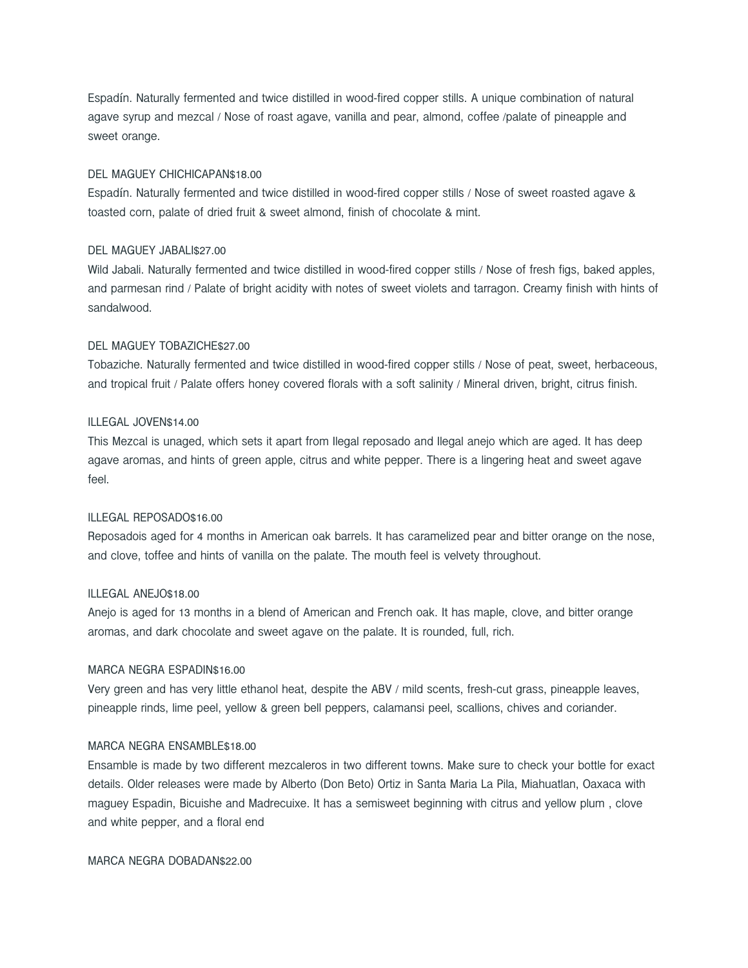Espadín. Naturally fermented and twice distilled in wood-fired copper stills. A unique combination of natural agave syrup and mezcal / Nose of roast agave, vanilla and pear, almond, coffee /palate of pineapple and sweet orange.

## DEL MAGUEY CHICHICAPAN\$18.00

Espadín. Naturally fermented and twice distilled in wood-fired copper stills / Nose of sweet roasted agave & toasted corn, palate of dried fruit & sweet almond, finish of chocolate & mint.

# DEL MAGUEY JABALI\$27.00

Wild Jabali. Naturally fermented and twice distilled in wood-fired copper stills / Nose of fresh figs, baked apples, and parmesan rind / Palate of bright acidity with notes of sweet violets and tarragon. Creamy finish with hints of sandalwood.

#### DEL MAGUEY TOBAZICHE\$27.00

Tobaziche. Naturally fermented and twice distilled in wood-fired copper stills / Nose of peat, sweet, herbaceous, and tropical fruit / Palate offers honey covered florals with a soft salinity / Mineral driven, bright, citrus finish.

# ILLEGAL JOVEN\$14.00

This Mezcal is unaged, which sets it apart from Ilegal reposado and Ilegal anejo which are aged. It has deep agave aromas, and hints of green apple, citrus and white pepper. There is a lingering heat and sweet agave feel.

### ILLEGAL REPOSADO\$16.00

Reposadois aged for 4 months in American oak barrels. It has caramelized pear and bitter orange on the nose, and clove, toffee and hints of vanilla on the palate. The mouth feel is velvety throughout.

#### ILLEGAL ANEJO\$18.00

Anejo is aged for 13 months in a blend of American and French oak. It has maple, clove, and bitter orange aromas, and dark chocolate and sweet agave on the palate. It is rounded, full, rich.

#### MARCA NEGRA ESPADIN\$16.00

Very green and has very little ethanol heat, despite the ABV / mild scents, fresh-cut grass, pineapple leaves, pineapple rinds, lime peel, yellow & green bell peppers, calamansi peel, scallions, chives and coriander.

#### MARCA NEGRA ENSAMBLE\$18.00

Ensamble is made by two different mezcaleros in two different towns. Make sure to check your bottle for exact details. Older releases were made by Alberto (Don Beto) Ortiz in Santa Maria La Pila, Miahuatlan, Oaxaca with maguey Espadin, Bicuishe and Madrecuixe. It has a semisweet beginning with citrus and yellow plum , clove and white pepper, and a floral end

MARCA NEGRA DOBADAN\$22.00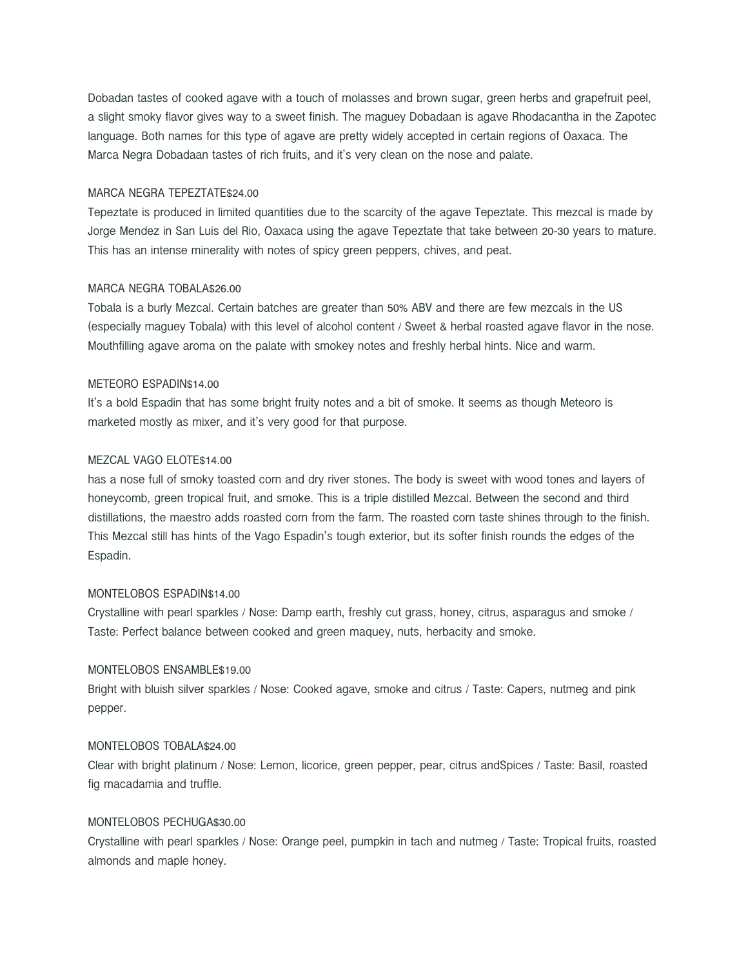Dobadan tastes of cooked agave with a touch of molasses and brown sugar, green herbs and grapefruit peel, a slight smoky flavor gives way to a sweet finish. The maguey Dobadaan is agave Rhodacantha in the Zapotec language. Both names for this type of agave are pretty widely accepted in certain regions of Oaxaca. The Marca Negra Dobadaan tastes of rich fruits, and it's very clean on the nose and palate.

#### MARCA NEGRA TEPEZTATE\$24.00

Tepeztate is produced in limited quantities due to the scarcity of the agave Tepeztate. This mezcal is made by Jorge Mendez in San Luis del Rio, Oaxaca using the agave Tepeztate that take between 20-30 years to mature. This has an intense minerality with notes of spicy green peppers, chives, and peat.

#### MARCA NEGRA TOBALA\$26.00

Tobala is a burly Mezcal. Certain batches are greater than 50% ABV and there are few mezcals in the US (especially maguey Tobala) with this level of alcohol content / Sweet & herbal roasted agave flavor in the nose. Mouthfilling agave aroma on the palate with smokey notes and freshly herbal hints. Nice and warm.

## METEORO ESPADIN\$14.00

It's a bold Espadin that has some bright fruity notes and a bit of smoke. It seems as though Meteoro is marketed mostly as mixer, and it's very good for that purpose.

## MEZCAL VAGO ELOTE\$14.00

has a nose full of smoky toasted corn and dry river stones. The body is sweet with wood tones and layers of honeycomb, green tropical fruit, and smoke. This is a triple distilled Mezcal. Between the second and third distillations, the maestro adds roasted corn from the farm. The roasted corn taste shines through to the finish. This Mezcal still has hints of the Vago Espadin's tough exterior, but its softer finish rounds the edges of the Espadin.

### MONTELOBOS ESPADIN\$14.00

Crystalline with pearl sparkles / Nose: Damp earth, freshly cut grass, honey, citrus, asparagus and smoke / Taste: Perfect balance between cooked and green maquey, nuts, herbacity and smoke.

## MONTELOBOS ENSAMBLE\$19.00

Bright with bluish silver sparkles / Nose: Cooked agave, smoke and citrus / Taste: Capers, nutmeg and pink pepper.

#### MONTELOBOS TOBALA\$24.00

Clear with bright platinum / Nose: Lemon, licorice, green pepper, pear, citrus andSpices / Taste: Basil, roasted fig macadamia and truffle.

#### MONTELOBOS PECHUGA\$30.00

Crystalline with pearl sparkles / Nose: Orange peel, pumpkin in tach and nutmeg / Taste: Tropical fruits, roasted almonds and maple honey.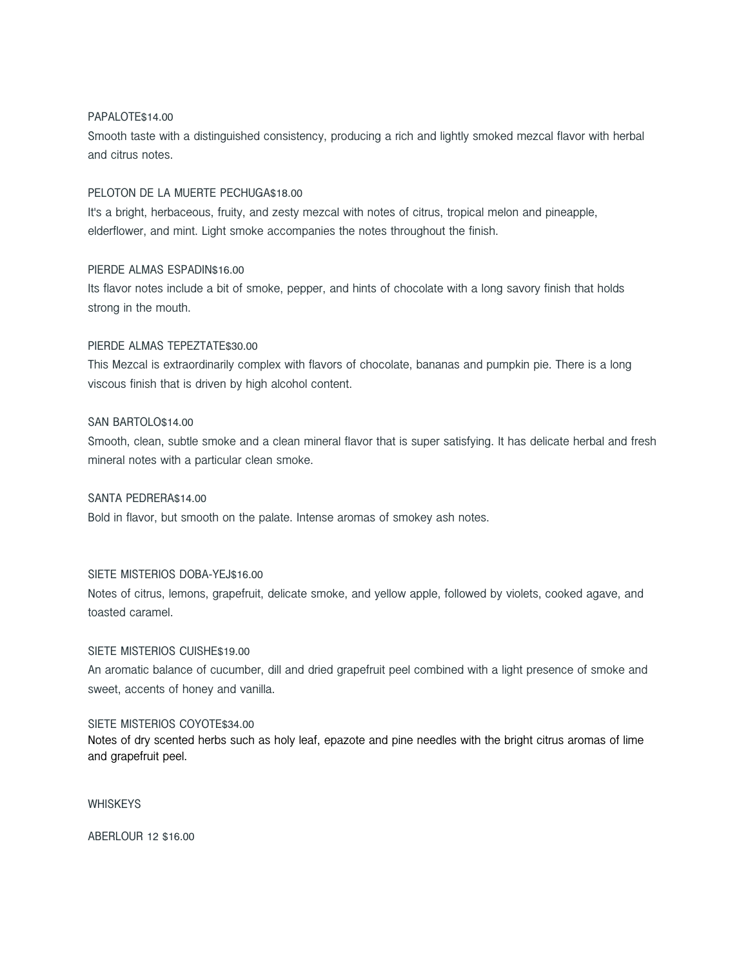# PAPALOTE\$14.00

Smooth taste with a distinguished consistency, producing a rich and lightly smoked mezcal flavor with herbal and citrus notes.

## PELOTON DE LA MUERTE PECHUGA\$18.00

It's a bright, herbaceous, fruity, and zesty mezcal with notes of citrus, tropical melon and pineapple, elderflower, and mint. Light smoke accompanies the notes throughout the finish.

# PIERDE ALMAS ESPADIN\$16.00

Its flavor notes include a bit of smoke, pepper, and hints of chocolate with a long savory finish that holds strong in the mouth.

## PIERDE ALMAS TEPEZTATE\$30.00

This Mezcal is extraordinarily complex with flavors of chocolate, bananas and pumpkin pie. There is a long viscous finish that is driven by high alcohol content.

# SAN BARTOLO\$14.00

Smooth, clean, subtle smoke and a clean mineral flavor that is super satisfying. It has delicate herbal and fresh mineral notes with a particular clean smoke.

# SANTA PEDRERA\$14.00

Bold in flavor, but smooth on the palate. Intense aromas of smokey ash notes.

# SIETE MISTERIOS DOBA-YEJ\$16.00

Notes of citrus, lemons, grapefruit, delicate smoke, and yellow apple, followed by violets, cooked agave, and toasted caramel.

#### SIETE MISTERIOS CUISHE\$19.00

An aromatic balance of cucumber, dill and dried grapefruit peel combined with a light presence of smoke and sweet, accents of honey and vanilla.

#### SIETE MISTERIOS COYOTE\$34.00

Notes of dry scented herbs such as holy leaf, epazote and pine needles with the bright citrus aromas of lime and grapefruit peel.

**WHISKEYS** 

ABERLOUR 12 \$16.00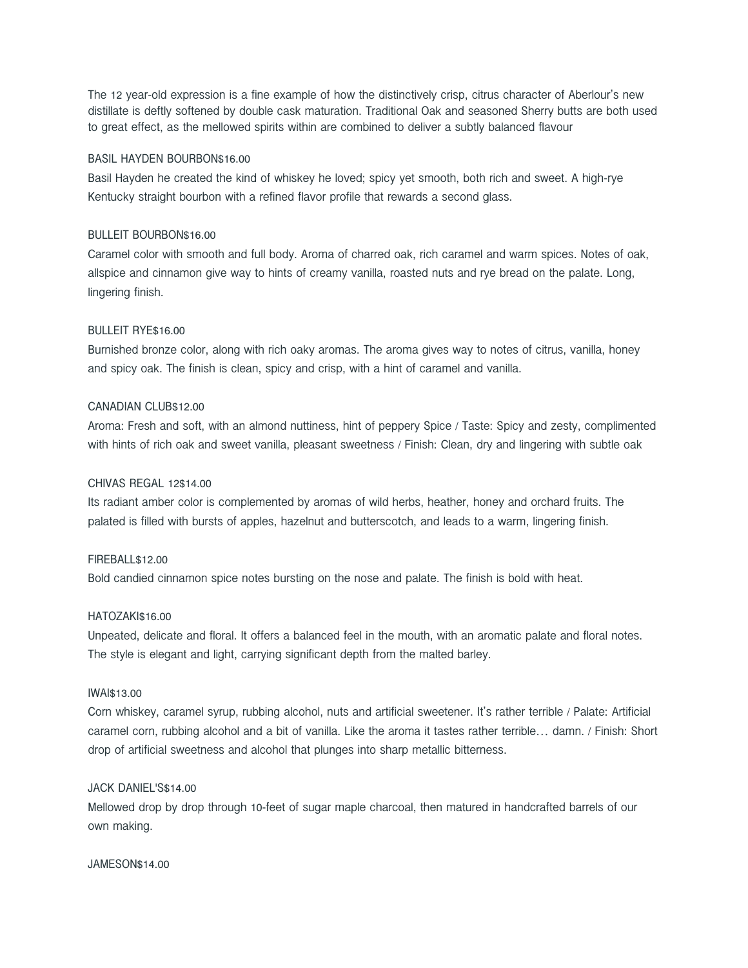The 12 year-old expression is a fine example of how the distinctively crisp, citrus character of Aberlour's new distillate is deftly softened by double cask maturation. Traditional Oak and seasoned Sherry butts are both used to great effect, as the mellowed spirits within are combined to deliver a subtly balanced flavour

# BASIL HAYDEN BOURBON\$16.00

Basil Hayden he created the kind of whiskey he loved; spicy yet smooth, both rich and sweet. A high-rye Kentucky straight bourbon with a refined flavor profile that rewards a second glass.

# BULLEIT BOURBON\$16.00

Caramel color with smooth and full body. Aroma of charred oak, rich caramel and warm spices. Notes of oak, allspice and cinnamon give way to hints of creamy vanilla, roasted nuts and rye bread on the palate. Long, lingering finish.

# BULLEIT RYE\$16.00

Burnished bronze color, along with rich oaky aromas. The aroma gives way to notes of citrus, vanilla, honey and spicy oak. The finish is clean, spicy and crisp, with a hint of caramel and vanilla.

## CANADIAN CLUB\$12.00

Aroma: Fresh and soft, with an almond nuttiness, hint of peppery Spice / Taste: Spicy and zesty, complimented with hints of rich oak and sweet vanilla, pleasant sweetness / Finish: Clean, dry and lingering with subtle oak

# CHIVAS REGAL 12\$14.00

Its radiant amber color is complemented by aromas of wild herbs, heather, honey and orchard fruits. The palated is filled with bursts of apples, hazelnut and butterscotch, and leads to a warm, lingering finish.

# FIREBALL\$12.00

Bold candied cinnamon spice notes bursting on the nose and palate. The finish is bold with heat.

#### HATOZAKI\$16.00

Unpeated, delicate and floral. It offers a balanced feel in the mouth, with an aromatic palate and floral notes. The style is elegant and light, carrying significant depth from the malted barley.

#### IWAI\$13.00

Corn whiskey, caramel syrup, rubbing alcohol, nuts and artificial sweetener. It's rather terrible / Palate: Artificial caramel corn, rubbing alcohol and a bit of vanilla. Like the aroma it tastes rather terrible… damn. / Finish: Short drop of artificial sweetness and alcohol that plunges into sharp metallic bitterness.

### JACK DANIEL'S\$14.00

Mellowed drop by drop through 10-feet of sugar maple charcoal, then matured in handcrafted barrels of our own making.

#### JAMESON\$14.00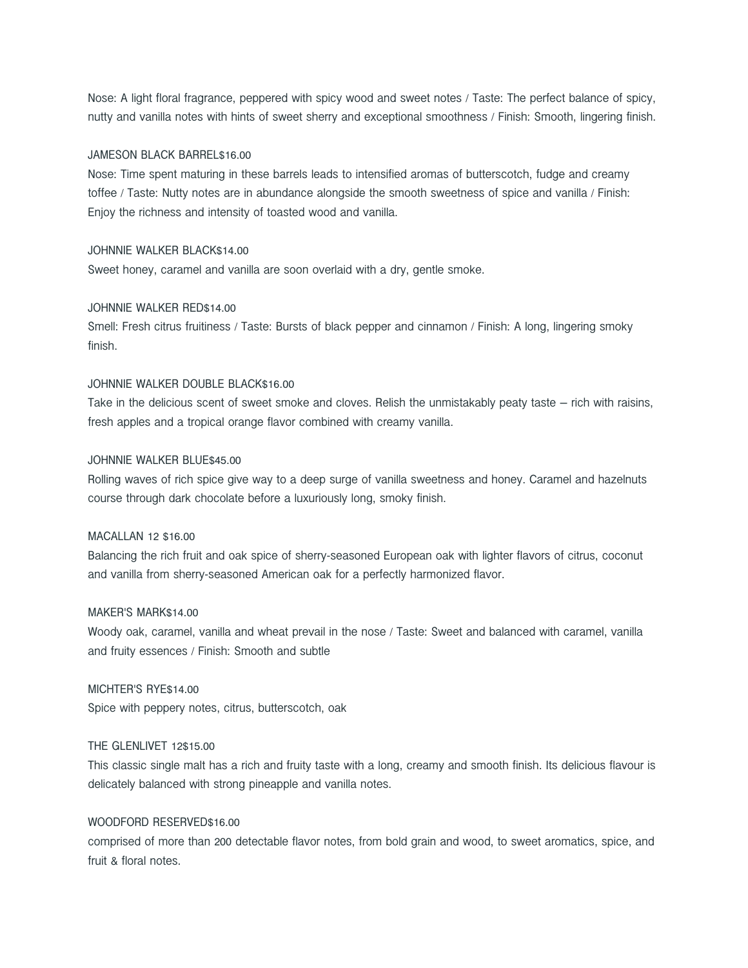Nose: A light floral fragrance, peppered with spicy wood and sweet notes / Taste: The perfect balance of spicy, nutty and vanilla notes with hints of sweet sherry and exceptional smoothness / Finish: Smooth, lingering finish.

## JAMESON BLACK BARREL\$16.00

Nose: Time spent maturing in these barrels leads to intensified aromas of butterscotch, fudge and creamy toffee / Taste: Nutty notes are in abundance alongside the smooth sweetness of spice and vanilla / Finish: Enjoy the richness and intensity of toasted wood and vanilla.

# JOHNNIE WALKER BLACK\$14.00

Sweet honey, caramel and vanilla are soon overlaid with a dry, gentle smoke.

#### JOHNNIE WALKER RED\$14.00

Smell: Fresh citrus fruitiness / Taste: Bursts of black pepper and cinnamon / Finish: A long, lingering smoky finish.

# JOHNNIE WALKER DOUBLE BLACK\$16.00

Take in the delicious scent of sweet smoke and cloves. Relish the unmistakably peaty taste – rich with raisins, fresh apples and a tropical orange flavor combined with creamy vanilla.

#### JOHNNIE WALKER BLUE\$45.00

Rolling waves of rich spice give way to a deep surge of vanilla sweetness and honey. Caramel and hazelnuts course through dark chocolate before a luxuriously long, smoky finish.

# MACALLAN 12 \$16.00

Balancing the rich fruit and oak spice of sherry-seasoned European oak with lighter flavors of citrus, coconut and vanilla from sherry-seasoned American oak for a perfectly harmonized flavor.

# MAKER'S MARK\$14.00

Woody oak, caramel, vanilla and wheat prevail in the nose / Taste: Sweet and balanced with caramel, vanilla and fruity essences / Finish: Smooth and subtle

#### MICHTER'S RYE\$14.00

Spice with peppery notes, citrus, butterscotch, oak

## THE GLENLIVET 12\$15.00

This classic single malt has a rich and fruity taste with a long, creamy and smooth finish. Its delicious flavour is delicately balanced with strong pineapple and vanilla notes.

# WOODFORD RESERVED\$16.00

comprised of more than 200 detectable flavor notes, from bold grain and wood, to sweet aromatics, spice, and fruit & floral notes.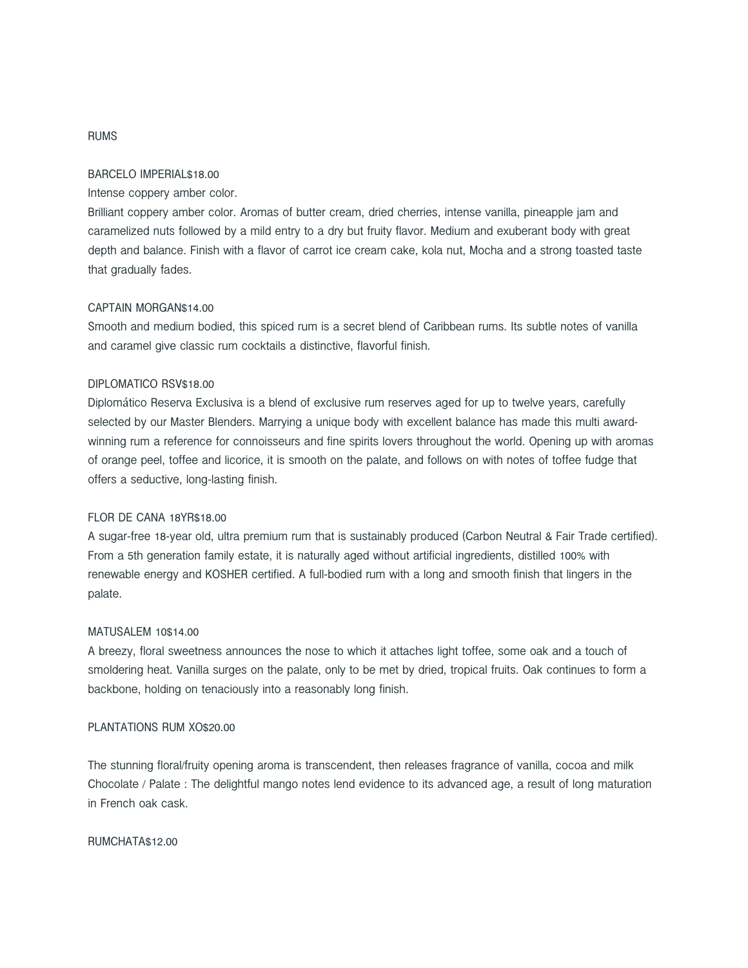# RUMS

#### BARCELO IMPERIAL\$18.00

Intense coppery amber color.

Brilliant coppery amber color. Aromas of butter cream, dried cherries, intense vanilla, pineapple jam and caramelized nuts followed by a mild entry to a dry but fruity flavor. Medium and exuberant body with great depth and balance. Finish with a flavor of carrot ice cream cake, kola nut, Mocha and a strong toasted taste that gradually fades.

#### CAPTAIN MORGAN\$14.00

Smooth and medium bodied, this spiced rum is a secret blend of Caribbean rums. Its subtle notes of vanilla and caramel give classic rum cocktails a distinctive, flavorful finish.

## DIPLOMATICO RSV\$18.00

Diplomático Reserva Exclusiva is a blend of exclusive rum reserves aged for up to twelve years, carefully selected by our Master Blenders. Marrying a unique body with excellent balance has made this multi awardwinning rum a reference for connoisseurs and fine spirits lovers throughout the world. Opening up with aromas of orange peel, toffee and licorice, it is smooth on the palate, and follows on with notes of toffee fudge that offers a seductive, long-lasting finish.

# FLOR DE CANA 18YR\$18.00

A sugar-free 18-year old, ultra premium rum that is sustainably produced (Carbon Neutral & Fair Trade certified). From a 5th generation family estate, it is naturally aged without artificial ingredients, distilled 100% with renewable energy and KOSHER certified. A full-bodied rum with a long and smooth finish that lingers in the palate.

# MATUSALEM 10\$14.00

A breezy, floral sweetness announces the nose to which it attaches light toffee, some oak and a touch of smoldering heat. Vanilla surges on the palate, only to be met by dried, tropical fruits. Oak continues to form a backbone, holding on tenaciously into a reasonably long finish.

# PLANTATIONS RUM XO\$20.00

The stunning floral/fruity opening aroma is transcendent, then releases fragrance of vanilla, cocoa and milk Chocolate / Palate : The delightful mango notes lend evidence to its advanced age, a result of long maturation in French oak cask.

#### RUMCHATA\$12.00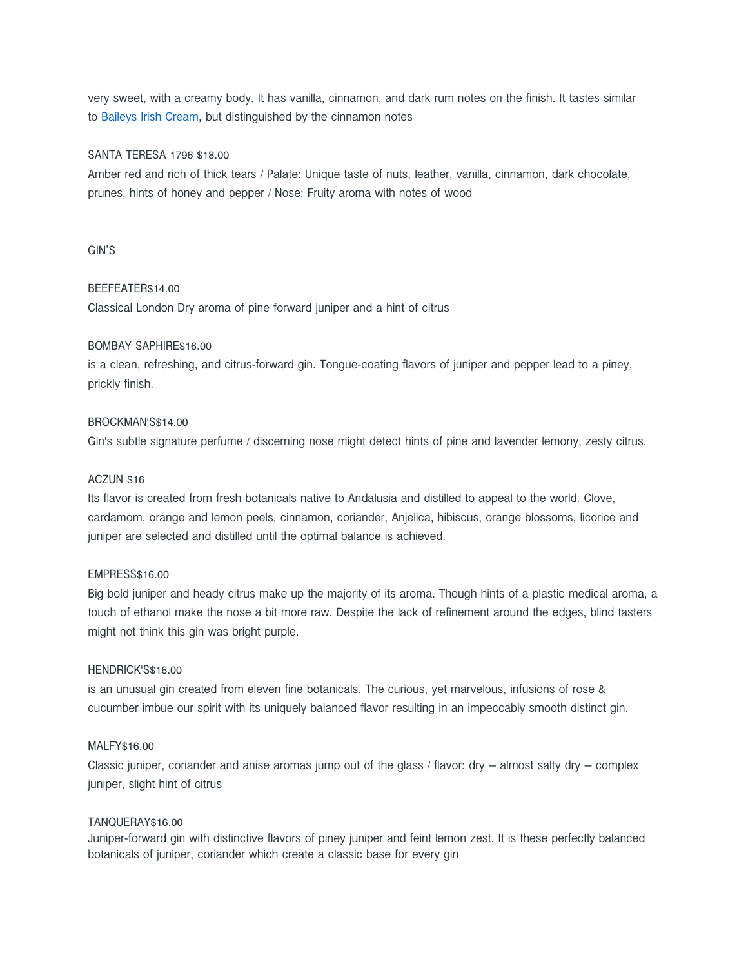very sweet, with a creamy body. It has vanilla, cinnamon, and dark rum notes on the finish. It tastes similar to Baileys Irish Cream, but distinguished by the cinnamon notes

# SANTA TERESA 1796 \$18.00

Amber red and rich of thick tears / Palate: Unique taste of nuts, leather, vanilla, cinnamon, dark chocolate, prunes, hints of honey and pepper / Nose: Fruity aroma with notes of wood

# GIN'S

# BEEFEATER\$14.00

Classical London Dry aroma of pine forward juniper and a hint of citrus

## BOMBAY SAPHIRE\$16.00

is a clean, refreshing, and citrus-forward gin. Tongue-coating flavors of juniper and pepper lead to a piney, prickly finish.

# BROCKMAN'S\$14.00

Gin's subtle signature perfume / discerning nose might detect hints of pine and lavender lemony, zesty citrus.

# ACZUN \$16

Its flavor is created from fresh botanicals native to Andalusia and distilled to appeal to the world. Clove, cardamom, orange and lemon peels, cinnamon, coriander, Anjelica, hibiscus, orange blossoms, licorice and juniper are selected and distilled until the optimal balance is achieved.

# EMPRESS\$16.00

Big bold juniper and heady citrus make up the majority of its aroma. Though hints of a plastic medical aroma, a touch of ethanol make the nose a bit more raw. Despite the lack of refinement around the edges, blind tasters might not think this gin was bright purple.

## HENDRICK'S\$16.00

is an unusual gin created from eleven fine botanicals. The curious, yet marvelous, infusions of rose & cucumber imbue our spirit with its uniquely balanced flavor resulting in an impeccably smooth distinct gin.

## MALFY\$16.00

Classic juniper, coriander and anise aromas jump out of the glass  $/$  flavor: dry – almost salty dry – complex juniper, slight hint of citrus

#### TANQUERAY\$16.00

Juniper-forward gin with distinctive flavors of piney juniper and feint lemon zest. It is these perfectly balanced botanicals of juniper, coriander which create a classic base for every gin